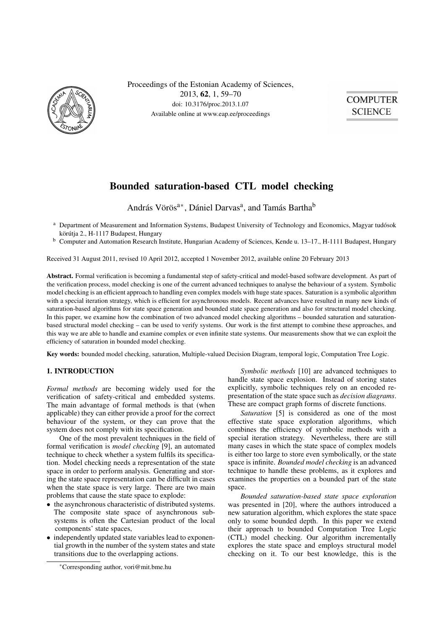

Proceedings of the Estonian Academy of Sciences, 2013, 62, 1, 59–70 doi: 10.3176/proc.2013.1.07 Available online at www.eap.ee/proceedings

# **COMPUTER SCIENCE**

## Bounded saturation-based CTL model checking

András Vörös<sup>a∗</sup>, Dániel Darvas<sup>a</sup>, and Tamás Bartha<sup>b</sup>

<sup>a</sup> Department of Measurement and Information Systems, Budapest University of Technology and Economics, Magyar tudósok körútja 2., H-1117 Budapest, Hungary

<sup>b</sup> Computer and Automation Research Institute, Hungarian Academy of Sciences, Kende u. 13–17., H-1111 Budapest, Hungary

Received 31 August 2011, revised 10 April 2012, accepted 1 November 2012, available online 20 February 2013

Abstract. Formal verification is becoming a fundamental step of safety-critical and model-based software development. As part of the verification process, model checking is one of the current advanced techniques to analyse the behaviour of a system. Symbolic model checking is an efficient approach to handling even complex models with huge state spaces. Saturation is a symbolic algorithm with a special iteration strategy, which is efficient for asynchronous models. Recent advances have resulted in many new kinds of saturation-based algorithms for state space generation and bounded state space generation and also for structural model checking. In this paper, we examine how the combination of two advanced model checking algorithms – bounded saturation and saturationbased structural model checking – can be used to verify systems. Our work is the first attempt to combine these approaches, and this way we are able to handle and examine complex or even infinite state systems. Our measurements show that we can exploit the efficiency of saturation in bounded model checking.

Key words: bounded model checking, saturation, Multiple-valued Decision Diagram, temporal logic, Computation Tree Logic.

## 1. INTRODUCTION

*Formal methods* are becoming widely used for the verification of safety-critical and embedded systems. The main advantage of formal methods is that (when applicable) they can either provide a proof for the correct behaviour of the system, or they can prove that the system does not comply with its specification.

One of the most prevalent techniques in the field of formal verification is *model checking* [9], an automated technique to check whether a system fulfils its specification. Model checking needs a representation of the state space in order to perform analysis. Generating and storing the state space representation can be difficult in cases when the state space is very large. There are two main problems that cause the state space to explode:

- the asynchronous characteristic of distributed systems. The composite state space of asynchronous subsystems is often the Cartesian product of the local components' state spaces,
- independently updated state variables lead to exponential growth in the number of the system states and state transitions due to the overlapping actions.

*Symbolic methods* [10] are advanced techniques to handle state space explosion. Instead of storing states explicitly, symbolic techniques rely on an encoded representation of the state space such as *decision diagrams*. These are compact graph forms of discrete functions.

*Saturation* [5] is considered as one of the most effective state space exploration algorithms, which combines the efficiency of symbolic methods with a special iteration strategy. Nevertheless, there are still many cases in which the state space of complex models is either too large to store even symbolically, or the state space is infinite. *Bounded model checking* is an advanced technique to handle these problems, as it explores and examines the properties on a bounded part of the state space.

*Bounded saturation-based state space exploration* was presented in [20], where the authors introduced a new saturation algorithm, which explores the state space only to some bounded depth. In this paper we extend their approach to bounded Computation Tree Logic (CTL) model checking. Our algorithm incrementally explores the state space and employs structural model checking on it. To our best knowledge, this is the

<sup>∗</sup>Corresponding author, vori@mit.bme.hu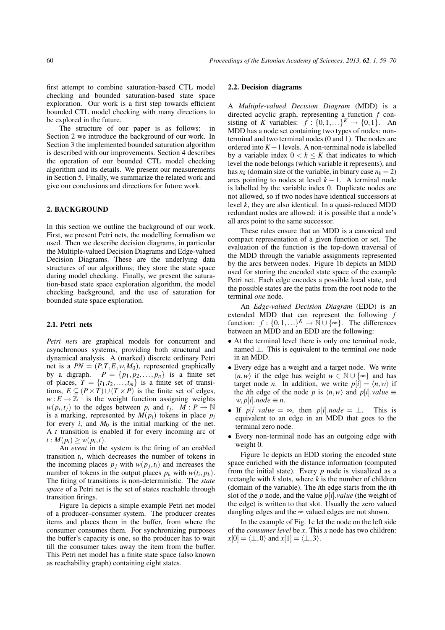first attempt to combine saturation-based CTL model checking and bounded saturation-based state space exploration. Our work is a first step towards efficient bounded CTL model checking with many directions to be explored in the future.

The structure of our paper is as follows: in Section 2 we introduce the background of our work. In Section 3 the implemented bounded saturation algorithm is described with our improvements. Section 4 describes the operation of our bounded CTL model checking algorithm and its details. We present our measurements in Section 5. Finally, we summarize the related work and give our conclusions and directions for future work.

## 2. BACKGROUND

In this section we outline the background of our work. First, we present Petri nets, the modelling formalism we used. Then we describe decision diagrams, in particular the Multiple-valued Decision Diagrams and Edge-valued Decision Diagrams. These are the underlying data structures of our algorithms; they store the state space during model checking. Finally, we present the saturation-based state space exploration algorithm, the model checking background, and the use of saturation for bounded state space exploration.

## 2.1. Petri nets

*Petri nets* are graphical models for concurrent and asynchronous systems, providing both structural and dynamical analysis. A (marked) discrete ordinary Petri net is a  $PN = (P, T, E, w, M_0)$ , represented graphically by a digraph.  $P = \{p_1, p_2, \ldots, p_n\}$  is a finite set of places,  $\overline{T} = \{t_1, t_2, \ldots, t_m\}$  is a finite set of transitions,  $E \subseteq (P \times T) \cup (T \times P)$  is the finite set of edges,  $w: E \to \overline{\mathbb{Z}}^+$  is the weight function assigning weights  $w(p_i, t_j)$  to the edges between  $p_i$  and  $t_j$ .  $M : P \to \mathbb{N}$ is a marking, represented by  $M(p_i)$  tokens in place  $p_i$ for every *i*, and  $M_0$  is the initial marking of the net. A *t* transition is enabled if for every incoming arc of  $t: M(p_i) \geq w(p_i, t).$ 

An *event* in the system is the firing of an enabled transition  $t_i$ , which decreases the number of tokens in the incoming places  $p_j$  with  $w(p_j, t_i)$  and increases the number of tokens in the output places  $p_k$  with  $w(t_i, p_k)$ . The firing of transitions is non-deterministic. The *state space* of a Petri net is the set of states reachable through transition firings.

Figure 1a depicts a simple example Petri net model of a producer–consumer system. The producer creates items and places them in the buffer, from where the consumer consumes them. For synchronizing purposes the buffer's capacity is one, so the producer has to wait till the consumer takes away the item from the buffer. This Petri net model has a finite state space (also known as reachability graph) containing eight states.

#### 2.2. Decision diagrams

A *Multiple-valued Decision Diagram* (MDD) is a directed acyclic graph, representing a function *f* consisting of *K* variables:  $f: \{0,1,...\}^K \rightarrow \{0,1\}$ . An MDD has a node set containing two types of nodes: nonterminal and two terminal nodes (0 and 1). The nodes are ordered into  $K+1$  levels. A non-terminal node is labelled by a variable index  $0 < k \leq K$  that indicates to which level the node belongs (which variable it represents), and has  $n_k$  (domain size of the variable, in binary case  $n_k = 2$ ) arcs pointing to nodes at level  $k - 1$ . A terminal node is labelled by the variable index 0. Duplicate nodes are not allowed, so if two nodes have identical successors at level *k*, they are also identical. In a quasi-reduced MDD redundant nodes are allowed: it is possible that a node's all arcs point to the same successor.

These rules ensure that an MDD is a canonical and compact representation of a given function or set. The evaluation of the function is the top-down traversal of the MDD through the variable assignments represented by the arcs between nodes. Figure 1b depicts an MDD used for storing the encoded state space of the example Petri net. Each edge encodes a possible local state, and the possible states are the paths from the root node to the terminal *one* node.

An *Edge-valued Decision Diagram* (EDD) is an extended MDD that can represent the following *f* function:  $f: \{0, 1, ...\}^K \to \mathbb{N} \cup \{\infty\}$ . The differences between an MDD and an EDD are the following:

- At the terminal level there is only one terminal node, named ⊥. This is equivalent to the terminal *one* node in an MDD.
- Every edge has a weight and a target node. We write  $\langle n, w \rangle$  if the edge has weight  $w \in \mathbb{N} \cup \{\infty\}$  and has target node *n*. In addition, we write  $p[i] = \langle n, w \rangle$  if the *i*th edge of the node *p* is  $\langle n, w \rangle$  and  $p[i].value \equiv$  $w, p[i].node \equiv n.$
- If  $p[i].value = \infty$ , then  $p[i].node = \perp$ . This is equivalent to an edge in an MDD that goes to the terminal zero node.
- Every non-terminal node has an outgoing edge with weight 0.

Figure 1c depicts an EDD storing the encoded state space enriched with the distance information (computed from the initial state). Every  $p$  node is visualized as a rectangle with *k* slots, where *k* is the number of children (domain of the variable). The *i*th edge starts from the *i*th slot of the *p* node, and the value *p*[*i*].*value* (the weight of the edge) is written to that slot. Usually the zero valued dangling edges and the  $\infty$  valued edges are not shown.

In the example of Fig. 1c let the node on the left side of the *consumer level* be *x*. This *x* node has two children:  $x[0] = \langle \perp, 0 \rangle$  and  $x[1] = \langle \perp, 3 \rangle$ .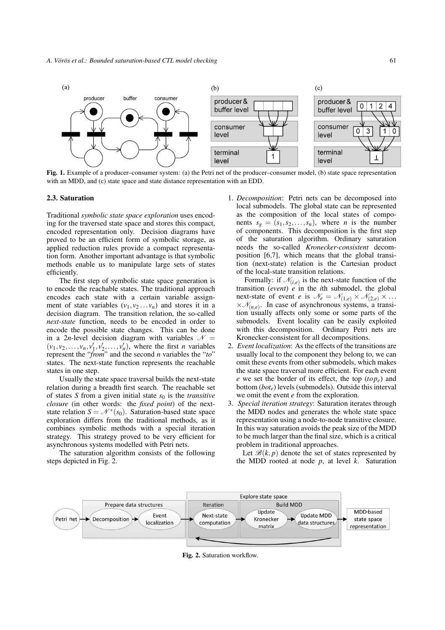

Fig. 1. Example of a producer–consumer system: (a) the Petri net of the producer–consumer model, (b) state space representation with an MDD, and (c) state space and state distance representation with an EDD.

#### 2.3. Saturation

Traditional *symbolic state space exploration* uses encoding for the traversed state space and stores this compact, encoded representation only. Decision diagrams have proved to be an efficient form of symbolic storage, as applied reduction rules provide a compact representation form. Another important advantage is that symbolic methods enable us to manipulate large sets of states efficiently.

The first step of symbolic state space generation is to encode the reachable states. The traditional approach encodes each state with a certain variable assignment of state variables  $(v_1, v_2 \ldots v_n)$  and stores it in a decision diagram. The transition relation, the so-called *next-state* function, needs to be encoded in order to encode the possible state changes. This can be done in a 2*n*-level decision diagram with variables  $\mathcal{N} =$  $(v_1, v_2, \ldots, v_n, v'_1, v'_2, \ldots, v'_n)$ , where the first *n* variables represent the "*from*" and the second *n* variables the "*to*" states. The next-state function represents the reachable states in one step.

Usually the state space traversal builds the next-state relation during a breadth first search. The reachable set of states *S* from a given initial state  $s_0$  is the *transitive closure* (in other words: the *fixed point*) of the nextstate relation  $S = \mathcal{N}^*(s_0)$ . Saturation-based state space exploration differs from the traditional methods, as it combines symbolic methods with a special iteration strategy. This strategy proved to be very efficient for asynchronous systems modelled with Petri nets.

The saturation algorithm consists of the following steps depicted in Fig. 2.

1. *Decomposition*: Petri nets can be decomposed into local submodels. The global state can be represented as the composition of the local states of components  $s_g = (s_1, s_2, \ldots, s_n)$ , where *n* is the number of components. This decomposition is the first step of the saturation algorithm. Ordinary saturation needs the so-called *Kronecker-consistent* decomposition [6,7], which means that the global transition (next-state) relation is the Cartesian product of the local-state transition relations.

Formally: if  $\mathcal{N}_{(i,e)}$  is the next-state function of the transition (*event*) *e* in the *i*th submodel, the global next-state of event *e* is  $\mathcal{N}_e = \mathcal{N}_{(1,e)} \times \mathcal{N}_{(2,e)} \times \dots$  $\times\mathcal{N}_{(n,e)}$ . In case of asynchronous systems, a transition usually affects only some or some parts of the submodels. Event locality can be easily exploited with this decomposition. Ordinary Petri nets are Kronecker-consistent for all decompositions.

- 2. *Event localization*: As the effects of the transitions are usually local to the component they belong to, we can omit these events from other submodels, which makes the state space traversal more efficient. For each event *e* we set the border of its effect, the top (*tope*) and bottom (*bote*) levels (submodels). Outside this interval we omit the event *e* from the exploration.
- 3. *Special iteration strategy*: Saturation iterates through the MDD nodes and generates the whole state space representation using a node-to-node transitive closure. In this way saturation avoids the peak size of the MDD to be much larger than the final size, which is a critical problem in traditional approaches.

Let  $\mathcal{B}(k, p)$  denote the set of states represented by the MDD rooted at node *p*, at level *k*. Saturation



Fig. 2. Saturation workflow.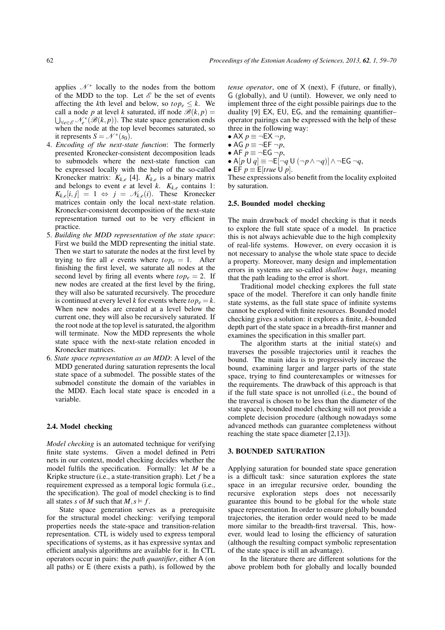applies  $\mathcal{N}^*$  locally to the nodes from the bottom of the MDD to the top. Let  $\mathscr E$  be the set of events affecting the *k*th level and below, so  $top_e \leq k$ . We call a node *p* at level *k* saturated, iff node  $\mathcal{B}(k, p) =$  $\forall e \in \mathcal{S}$   $\mathcal{N}_e^*(\mathcal{B}(k, p))$ . The state space generation ends when the node at the top level becomes saturated, so it represents  $S = \mathcal{N}^*(s_0)$ .

- 4. *Encoding of the next-state function*: The formerly presented Kronecker-consistent decomposition leads to submodels where the next-state function can be expressed locally with the help of the so-called Kronecker matrix:  $K_{k,e}$  [4].  $K_{k,e}$  is a binary matrix and belongs to event *e* at level *k*.  $K_{k,e}$  contains 1:  $K_{k,e}[i,j] = 1 \Leftrightarrow j = \mathcal{N}_{k,e}(i)$ . These Kronecker matrices contain only the local next-state relation. Kronecker-consistent decomposition of the next-state representation turned out to be very efficient in practice.
- 5. *Building the MDD representation of the state space*: First we build the MDD representing the initial state. Then we start to saturate the nodes at the first level by trying to fire all *e* events where  $top_e = 1$ . After finishing the first level, we saturate all nodes at the second level by firing all events where  $top_e = 2$ . If new nodes are created at the first level by the firing, they will also be saturated recursively. The procedure is continued at every level *k* for events where  $top_e = k$ . When new nodes are created at a level below the current one, they will also be recursively saturated. If the root node at the top level is saturated, the algorithm will terminate. Now the MDD represents the whole state space with the next-state relation encoded in Kronecker matrices.
- 6. *State space representation as an MDD*: A level of the MDD generated during saturation represents the local state space of a submodel. The possible states of the submodel constitute the domain of the variables in the MDD. Each local state space is encoded in a variable.

#### 2.4. Model checking

*Model checking* is an automated technique for verifying finite state systems. Given a model defined in Petri nets in our context, model checking decides whether the model fulfils the specification. Formally: let *M* be a Kripke structure (i.e., a state-transition graph). Let *f* be a requirement expressed as a temporal logic formula (i.e., the specification). The goal of model checking is to find all states *s* of *M* such that  $M, s \models f$ .

State space generation serves as a prerequisite for the structural model checking: verifying temporal properties needs the state-space and transition-relation representation. CTL is widely used to express temporal specifications of systems, as it has expressive syntax and efficient analysis algorithms are available for it. In CTL operators occur in pairs: the *path quantifier*, either A (on all paths) or E (there exists a path), is followed by the

*tense operator*, one of X (next), F (future, or finally), G (globally), and U (until). However, we only need to implement three of the eight possible pairings due to the duality [9] EX, EU, EG, and the remaining quantifier– operator pairings can be expressed with the help of these three in the following way:

- AX  $p \equiv \neg EX \neg p$ ,
- AG *p* ≡ ¬EF ¬*p*,
- AF  $p \equiv \neg EG \neg p$ ,
- A[*p* U *q*] ≡ ¬E[¬*q* U (¬*p*∧ ¬*q*)]∧ ¬EG ¬*q*,
- EF  $p \equiv E$ *[true* U  $p$ ].

These expressions also benefit from the locality exploited by saturation.

#### 2.5. Bounded model checking

The main drawback of model checking is that it needs to explore the full state space of a model. In practice this is not always achievable due to the high complexity of real-life systems. However, on every occasion it is not necessary to analyse the whole state space to decide a property. Moreover, many design and implementation errors in systems are so-called *shallow bugs*, meaning that the path leading to the error is short.

Traditional model checking explores the full state space of the model. Therefore it can only handle finite state systems, as the full state space of infinite systems cannot be explored with finite resources. Bounded model checking gives a solution: it explores a finite, *k*-bounded depth part of the state space in a breadth-first manner and examines the specification in this smaller part.

The algorithm starts at the initial state(s) and traverses the possible trajectories until it reaches the bound. The main idea is to progressively increase the bound, examining larger and larger parts of the state space, trying to find counterexamples or witnesses for the requirements. The drawback of this approach is that if the full state space is not unrolled (i.e., the bound of the traversal is chosen to be less than the diameter of the state space), bounded model checking will not provide a complete decision procedure (although nowadays some advanced methods can guarantee completeness without reaching the state space diameter [2,13]).

#### 3. BOUNDED SATURATION

Applying saturation for bounded state space generation is a difficult task: since saturation explores the state space in an irregular recursive order, bounding the recursive exploration steps does not necessarily guarantee this bound to be global for the whole state space representation. In order to ensure globally bounded trajectories, the iteration order would need to be made more similar to the breadth-first traversal. This, however, would lead to losing the efficiency of saturation (although the resulting compact symbolic representation of the state space is still an advantage).

In the literature there are different solutions for the above problem both for globally and locally bounded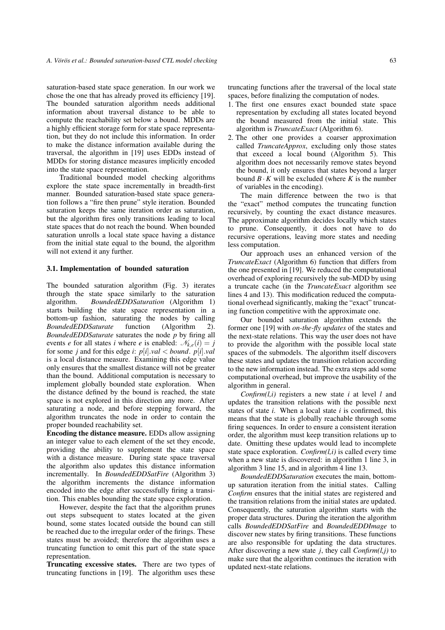saturation-based state space generation. In our work we chose the one that has already proved its efficiency [19]. The bounded saturation algorithm needs additional information about traversal distance to be able to compute the reachability set below a bound. MDDs are a highly efficient storage form for state space representation, but they do not include this information. In order to make the distance information available during the traversal, the algorithm in [19] uses EDDs instead of MDDs for storing distance measures implicitly encoded into the state space representation.

Traditional bounded model checking algorithms explore the state space incrementally in breadth-first manner. Bounded saturation-based state space generation follows a "fire then prune" style iteration. Bounded saturation keeps the same iteration order as saturation, but the algorithm fires only transitions leading to local state spaces that do not reach the bound. When bounded saturation unrolls a local state space having a distance from the initial state equal to the bound, the algorithm will not extend it any further.

#### 3.1. Implementation of bounded saturation

The bounded saturation algorithm (Fig. 3) iterates through the state space similarly to the saturation algorithm. *BoundedEDDSaturation* (Algorithm 1) starts building the state space representation in a bottom-up fashion, saturating the nodes by calling *BoundedEDDSaturate* function (Algorithm 2). *BoundedEDDSaturate* saturates the node *p* by firing all events *e* for all states *i* where *e* is enabled:  $\mathcal{N}_{k,e}(i) = j$ for some *j* and for this edge *i*:  $p[i].val < bound$ .  $p[i].val$ is a local distance measure. Examining this edge value only ensures that the smallest distance will not be greater than the bound. Additional computation is necessary to implement globally bounded state exploration. When the distance defined by the bound is reached, the state space is not explored in this direction any more. After saturating a node, and before stepping forward, the algorithm truncates the node in order to contain the proper bounded reachability set.

Encoding the distance measure. EDDs allow assigning an integer value to each element of the set they encode, providing the ability to supplement the state space with a distance measure. During state space traversal the algorithm also updates this distance information incrementally. In *BoundedEDDSatFire* (Algorithm 3) the algorithm increments the distance information encoded into the edge after successfully firing a transition. This enables bounding the state space exploration.

However, despite the fact that the algorithm prunes out steps subsequent to states located at the given bound, some states located outside the bound can still be reached due to the irregular order of the firings. These states must be avoided; therefore the algorithm uses a truncating function to omit this part of the state space representation.

Truncating excessive states. There are two types of truncating functions in [19]. The algorithm uses these

truncating functions after the traversal of the local state spaces, before finalizing the computation of nodes.

- 1. The first one ensures exact bounded state space representation by excluding all states located beyond the bound measured from the initial state. This algorithm is *TruncateExact* (Algorithm 6).
- 2. The other one provides a coarser approximation called *TruncateApprox*, excluding only those states that exceed a local bound (Algorithm 5). This algorithm does not necessarily remove states beyond the bound, it only ensures that states beyond a larger bound  $B \cdot K$  will be excluded (where  $K$  is the number of variables in the encoding).

The main difference between the two is that the "exact" method computes the truncating function recursively, by counting the exact distance measures. The approximate algorithm decides locally which states to prune. Consequently, it does not have to do recursive operations, leaving more states and needing less computation.

Our approach uses an enhanced version of the *TruncateExact* (Algorithm 6) function that differs from the one presented in [19]. We reduced the computational overhead of exploring recursively the sub-MDD by using a truncate cache (in the *TruncateExact* algorithm see lines 4 and 13). This modification reduced the computational overhead significantly, making the "exact" truncating function competitive with the approximate one.

Our bounded saturation algorithm extends the former one [19] with *on-the-fly updates* of the states and the next-state relations. This way the user does not have to provide the algorithm with the possible local state spaces of the submodels. The algorithm itself discovers these states and updates the transition relation according to the new information instead. The extra steps add some computational overhead, but improve the usability of the algorithm in general.

*Confirm(l,i)* registers a new state *i* at level *l* and updates the transition relations with the possible next states of state *i*. When a local state *i* is confirmed, this means that the state is globally reachable through some firing sequences. In order to ensure a consistent iteration order, the algorithm must keep transition relations up to date. Omitting these updates would lead to incomplete state space exploration. *Confirm(l,i)* is called every time when a new state is discovered: in algorithm 1 line 3, in algorithm 3 line 15, and in algorithm 4 line 13.

*BoundedEDDSaturation* executes the main, bottomup saturation iteration from the initial states. Calling *Confirm* ensures that the initial states are registered and the transition relations from the initial states are updated. Consequently, the saturation algorithm starts with the proper data structures. During the iteration the algorithm calls *BoundedEDDSatFire* and *BoundedEDDImage* to discover new states by firing transitions. These functions are also responsible for updating the data structures. After discovering a new state *j*, they call *Confirm(l,j)* to make sure that the algorithm continues the iteration with updated next-state relations.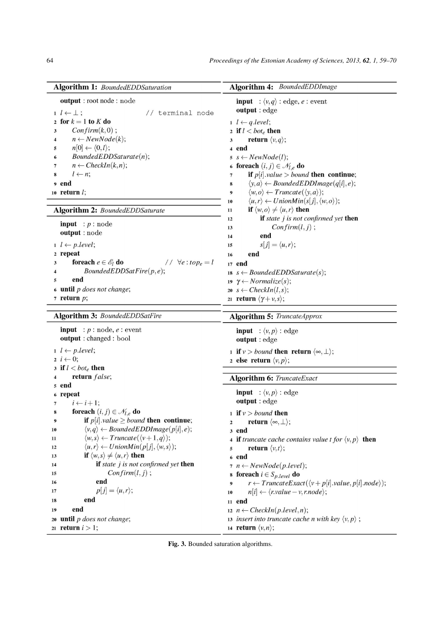| <b>Algorithm 1:</b> BoundedEDDSaturation                                      | Algorithm 4: BoundedEDDImage                                                                                |
|-------------------------------------------------------------------------------|-------------------------------------------------------------------------------------------------------------|
| output: root node: node                                                       | <b>input</b> : $\langle v, q \rangle$ : edge, <i>e</i> : event                                              |
|                                                                               | output : $edge$                                                                                             |
| $1 \ l \leftarrow \bot$ ;<br>// terminal node<br>2 for $k = 1$ to K do        |                                                                                                             |
| Confirm(k,0);<br>3                                                            | $1 \ l \leftarrow q.\text{level};$<br>2 if $l < bot_e$ then                                                 |
| $n \leftarrow NewNode(k);$<br>4                                               | <b>return</b> $\langle v, q \rangle$ ;<br>3                                                                 |
| $n[0] \leftarrow \langle 0, l \rangle;$<br>5                                  | 4 end                                                                                                       |
| BoundedEDDSature(n);<br>6                                                     | $s \leftarrow NewNode(l);$                                                                                  |
| $n \leftarrow CheckIn(k, n);$<br>7                                            | 6 foreach $(i, j) \in \mathcal{N}_{l,e}$ do                                                                 |
| $l \leftarrow n$ ;<br>8                                                       | if $p[i].value > bound$ then continue;<br>$\overline{7}$                                                    |
| <sub>9</sub> end                                                              | $\langle y, a \rangle \leftarrow BoundedEDDImage(q[i], e);$<br>$\bf 8$                                      |
| 10 return $l$ ;                                                               | $\langle w, o \rangle \leftarrow Truncated(\langle y, a \rangle);$<br>$\boldsymbol{9}$                      |
|                                                                               | $\langle u, r \rangle \leftarrow UnionMin(s[j], \langle w, o \rangle);$<br>10                               |
| <b>Algorithm 2: BoundedEDDSaturate</b>                                        | if $\langle w, o \rangle \neq \langle u, r \rangle$ then<br>11                                              |
| <b>input</b> : $p$ : node                                                     | if state j is not confirmed yet then<br>12                                                                  |
| output : node                                                                 | Confirm(l, j);<br>13                                                                                        |
|                                                                               | end<br>14                                                                                                   |
| $1 \t l \leftarrow p.\text{level};$<br>2 repeat                               | $s[j] = \langle u, r \rangle;$<br>15                                                                        |
| foreach $e \in \mathscr{E}_l$ do<br>// $\forall e : top_e = l$<br>3           | end<br>16                                                                                                   |
| BoundedEDDSatFire(p, e);<br>4                                                 | 17 end<br>18 $s \leftarrow BoundedEDDSature(s);$                                                            |
| end<br>5                                                                      | 19 $\gamma \leftarrow \text{Normalize}(s);$                                                                 |
| $\epsilon$ until $p$ does not change;                                         | 20 $s \leftarrow \text{CheckIn}(l, s);$                                                                     |
| 7 return $p$ ;                                                                | 21 return $\langle \gamma + \nu, s \rangle$ ;                                                               |
|                                                                               |                                                                                                             |
|                                                                               |                                                                                                             |
| Algorithm 3: BoundedEDDSatFire                                                | <b>Algorithm 5: TruncateApprox</b>                                                                          |
|                                                                               |                                                                                                             |
| <b>input</b> : $p$ : node, $e$ : event<br>output: changed: bool               | <b>input</b> : $\langle v, p \rangle$ : edge                                                                |
|                                                                               | output : edge                                                                                               |
| $1 \t l \leftarrow p.\text{level};$                                           | <b>1 if</b> $v > bound$ then return $\langle \infty, \perp \rangle$ ;                                       |
| $2 i \leftarrow 0;$                                                           | 2 else return $\langle v, p \rangle$ ;                                                                      |
| 3 if $l < bot_e$ then<br>return false;<br>4                                   |                                                                                                             |
| 5 end                                                                         | <b>Algorithm 6:</b> TruncateExact                                                                           |
| 6 repeat                                                                      | <b>input</b> : $\langle v, p \rangle$ : edge                                                                |
| $i \leftarrow i+1;$<br>7                                                      | output : edge                                                                                               |
| <b>foreach</b> $(i, j) \in \mathcal{N}_{l,e}$ do<br>8                         | 1 if $v > bound$ then                                                                                       |
| <b>if</b> $p[i].value \geq bound$ then continue;<br>9                         | return $\langle \infty, \perp \rangle$ ;<br>$\overline{2}$                                                  |
| $\langle v, q \rangle \leftarrow BoundedEDDImage(p[i], e);$<br>10             | 3 end                                                                                                       |
| $\langle w, s \rangle \leftarrow Truncated(\langle v+1, q \rangle);$<br>11    | 4 <b>if</b> truncate cache contains value t for $\langle v, p \rangle$ then                                 |
| $\langle u, r \rangle \leftarrow UnionMin(p[j], \langle w, s \rangle);$<br>12 | <b>return</b> $\langle v, t \rangle$ ;<br>5                                                                 |
| if $\langle w, s \rangle \neq \langle u, r \rangle$ then<br>13                | 6 end                                                                                                       |
| if state $j$ is not confirmed yet then<br>14                                  | $\tau$ $n \leftarrow \text{NewNode}(p.\text{level});$                                                       |
| Confirm(l, j);<br>15                                                          | s foreach $i \in S_{p!\text{level}}$ do                                                                     |
| end<br>16<br>17                                                               | $r \leftarrow TruncateExact(\langle v + p[i].value, p[i].node)\rangle;$<br>9                                |
| $p[j] = \langle u, r \rangle;$<br>end<br>18                                   | $n[i] \leftarrow \langle r.value - v, rnode \rangle;$<br>10                                                 |
| end<br>19                                                                     | 11 end                                                                                                      |
| $20$ until $p$ does not change;                                               | 12 $n \leftarrow CheckIn(p-level, n);$<br>13 insert into truncate cache n with key $\langle v, p \rangle$ ; |

Fig. 3. Bounded saturation algorithms.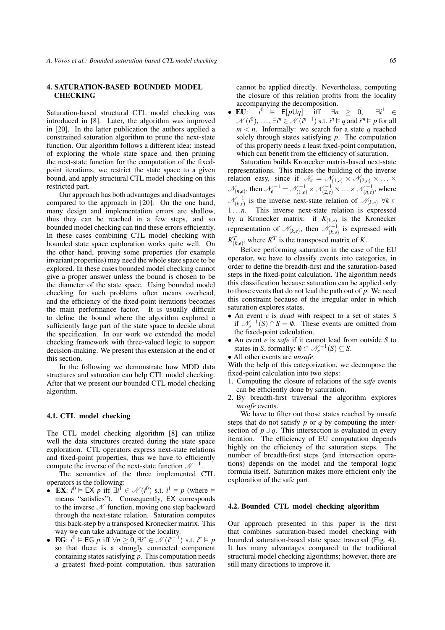## 4. SATURATION-BASED BOUNDED MODEL **CHECKING**

Saturation-based structural CTL model checking was introduced in [8]. Later, the algorithm was improved in [20]. In the latter publication the authors applied a constrained saturation algorithm to prune the next-state function. Our algorithm follows a different idea: instead of exploring the whole state space and then pruning the next-state function for the computation of the fixedpoint iterations, we restrict the state space to a given bound, and apply structural CTL model checking on this restricted part.

Our approach has both advantages and disadvantages compared to the approach in [20]. On the one hand, many design and implementation errors are shallow, thus they can be reached in a few steps, and so bounded model checking can find these errors efficiently. In these cases combining CTL model checking with bounded state space exploration works quite well. On the other hand, proving some properties (for example invariant properties) may need the whole state space to be explored. In these cases bounded model checking cannot give a proper answer unless the bound is chosen to be the diameter of the state space. Using bounded model checking for such problems often means overhead, and the efficiency of the fixed-point iterations becomes the main performance factor. It is usually difficult to define the bound where the algorithm explored a sufficiently large part of the state space to decide about the specification. In our work we extended the model checking framework with three-valued logic to support decision-making. We present this extension at the end of this section.

In the following we demonstrate how MDD data structures and saturation can help CTL model checking. After that we present our bounded CTL model checking algorithm.

#### 4.1. CTL model checking

The CTL model checking algorithm [8] can utilize well the data structures created during the state space exploration. CTL operators express next-state relations and fixed-point properties, thus we have to efficiently compute the inverse of the next-state function  $\mathcal{N}^{-1}$ .

The semantics of the three implemented CTL operators is the following:

- **EX**:  $i^0$  ⊨ **EX**  $p$  iff  $\exists i^{\mathsf{T}} \in \mathcal{N}(i^0)$  s.t.  $i^1 \vDash p$  (where  $\vDash$ means "satisfies"). Consequently, EX corresponds to the inverse  $\mathcal N$  function, moving one step backward through the next-state relation. Saturation computes this back-step by a transposed Kronecker matrix. This way we can take advantage of the locality.
- EG:  $i^0 \models$  EG  $p$  iff  $\forall n \geq 0, \exists i^n \in \mathcal{N}(i^{n-1})$  s.t.  $i^n \models p$ so that there is a strongly connected component containing states satisfying *p*. This computation needs a greatest fixed-point computation, thus saturation

cannot be applied directly. Nevertheless, computing the closure of this relation profits from the locality accompanying the decomposition.

• EU: *i*  $i^0$   $\models$   $\mathsf{E}[p \cup q]$  iff  $\exists n \geq 0$ ,  $\exists i^1$  ∈  $\mathcal{N}(i^0), \ldots, \exists i^n \in \mathcal{N}(i^{n-1})$  s.t.  $i^n \vDash q$  and  $i^m \vDash p$  for all  $m < n$ . Informally: we search for a state *q* reached solely through states satisfying *p*. The computation of this property needs a least fixed-point computation, which can benefit from the efficiency of saturation.

Saturation builds Kronecker matrix-based next-state representations. This makes the building of the inverse relation easy, since if  $\mathcal{N}_e = \mathcal{N}_{(1,e)} \times \mathcal{N}_{(2,e)} \times \dots \times$  $\mathcal{N}_{(n,e)}$ , then  $\mathcal{N}_e^{-1} = \mathcal{N}_{(1,e)}^{-1} \times \mathcal{N}_{(2,e)}^{-1} \times ... \times \mathcal{N}_{(n,e)}^{-1}$ , where  $\mathcal{N}_{(k,e)}^{-1}$  is the inverse next-state relation of  $\mathcal{N}_{(k,e)}$   $\forall k \in$ 1...*n*. This inverse next-state relation is expressed by a Kronecker matrix: if  $K_{(k,e)}$  is the Kronecker representation of  $\mathcal{N}_{(k,e)}$ , then  $\mathcal{N}_{(k,e)}^{-1}$  is expressed with  $K_{(k,e)}^T$ , where  $K^T$  is the transposed matrix of *K*.

Before performing saturation in the case of the EU operator, we have to classify events into categories, in order to define the breadth-first and the saturation-based steps in the fixed-point calculation. The algorithm needs this classification because saturation can be applied only to those events that do not lead the path out of *p*. We need this constraint because of the irregular order in which saturation explores states.

- An event *e* is *dead* with respect to a set of states *S* if  $\mathcal{N}_e^{-1}(S) \cap S = \emptyset$ . These events are omitted from the fixed-point calculation.
- An event *e* is *safe* if it cannot lead from outside *S* to states in *S*, formally:  $\emptyset \subset \mathcal{N}_e^{-1}(S) \subseteq S$ .
- All other events are *unsafe*.

With the help of this categorization, we decompose the fixed-point calculation into two steps:

- 1. Computing the closure of relations of the *safe* events can be efficiently done by saturation.
- 2. By breadth-first traversal the algorithm explores *unsafe* events.

We have to filter out those states reached by unsafe steps that do not satisfy *p* or *q* by computing the intersection of  $p \cup q$ . This intersection is evaluated in every iteration. The efficiency of EU computation depends highly on the efficiency of the saturation steps. The number of breadth-first steps (and intersection operations) depends on the model and the temporal logic formula itself. Saturation makes more efficient only the exploration of the safe part.

#### 4.2. Bounded CTL model checking algorithm

Our approach presented in this paper is the first that combines saturation-based model checking with bounded saturation-based state space traversal (Fig. 4). It has many advantages compared to the traditional structural model checking algorithms; however, there are still many directions to improve it.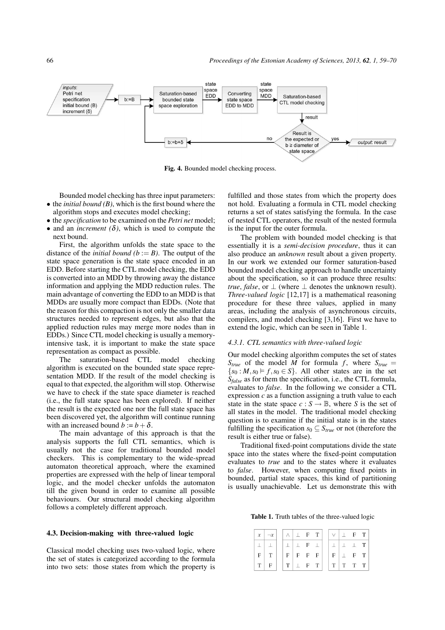

Fig. 4. Bounded model checking process.

Bounded model checking has three input parameters: • the *initial bound (B)*, which is the first bound where the algorithm stops and executes model checking;

- the *specification* to be examined on the *Petri net* model;
- and an *increment*  $(\delta)$ , which is used to compute the next bound.

First, the algorithm unfolds the state space to the distance of the *initial bound* ( $b := B$ ). The output of the state space generation is the state space encoded in an EDD. Before starting the CTL model checking, the EDD is converted into an MDD by throwing away the distance information and applying the MDD reduction rules. The main advantage of converting the EDD to an MDD is that MDDs are usually more compact than EDDs. (Note that the reason for this compaction is not only the smaller data structures needed to represent edges, but also that the applied reduction rules may merge more nodes than in EDDs.) Since CTL model checking is usually a memoryintensive task, it is important to make the state space representation as compact as possible.

The saturation-based CTL model checking algorithm is executed on the bounded state space representation MDD. If the result of the model checking is equal to that expected, the algorithm will stop. Otherwise we have to check if the state space diameter is reached (i.e., the full state space has been explored). If neither the result is the expected one nor the full state space has been discovered yet, the algorithm will continue running with an increased bound  $b := b + \delta$ .

The main advantage of this approach is that the analysis supports the full CTL semantics, which is usually not the case for traditional bounded model checkers. This is complementary to the wide-spread automaton theoretical approach, where the examined properties are expressed with the help of linear temporal logic, and the model checker unfolds the automaton till the given bound in order to examine all possible behaviours. Our structural model checking algorithm follows a completely different approach.

fulfilled and those states from which the property does not hold. Evaluating a formula in CTL model checking returns a set of states satisfying the formula. In the case of nested CTL operators, the result of the nested formula is the input for the outer formula.

The problem with bounded model checking is that essentially it is a *semi-decision procedure*, thus it can also produce an *unknown* result about a given property. In our work we extended our former saturation-based bounded model checking approach to handle uncertainty about the specification, so it can produce three results: *true*, *false*, or  $\perp$  (where  $\perp$  denotes the unknown result). *Three-valued logic* [12,17] is a mathematical reasoning procedure for these three values, applied in many areas, including the analysis of asynchronous circuits, compilers, and model checking [3,16]. First we have to extend the logic, which can be seen in Table 1.

## *4.3.1. CTL semantics with three-valued logic*

Our model checking algorithm computes the set of states  $S_{true}$  of the model *M* for formula *f*, where  $S_{true}$  ${s_0 : M, s_0 \models f, s_0 \in S}$ . All other states are in the set *Sfalse* as for them the specification, i.e., the CTL formula, evaluates to *false*. In the following we consider a CTL expression *c* as a function assigning a truth value to each state in the state space  $c : S \to \mathbb{B}$ , where *S* is the set of all states in the model. The traditional model checking question is to examine if the initial state is in the states fulfilling the specification  $s_0 \subseteq S_{true}$  or not (therefore the result is either true or false).

Traditional fixed-point computations divide the state space into the states where the fixed-point computation evaluates to *true* and to the states where it evaluates to *false*. However, when computing fixed points in bounded, partial state spaces, this kind of partitioning is usually unachievable. Let us demonstrate this with

Table 1. Truth tables of the three-valued logic

## 4.3. Decision-making with three-valued logic

Classical model checking uses two-valued logic, where the set of states is categorized according to the formula into two sets: those states from which the property is

| $\boldsymbol{x}$ | $\neg x$ |   |   | F          | T |    |         |   |  |
|------------------|----------|---|---|------------|---|----|---------|---|--|
|                  |          |   |   |            |   |    |         |   |  |
| F                | T        | F | F | $F-F$      |   | F. | $\perp$ | F |  |
|                  |          | т |   | $_{\rm F}$ | T | T  | T       | T |  |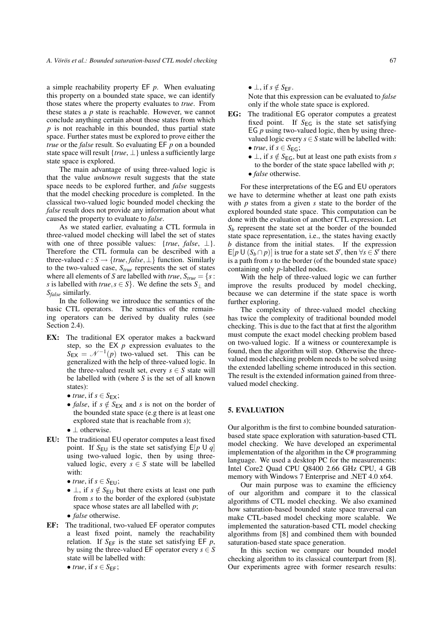a simple reachability property EF *p*. When evaluating this property on a bounded state space, we can identify those states where the property evaluates to *true*. From these states a *p* state is reachable. However, we cannot conclude anything certain about those states from which *p* is not reachable in this bounded, thus partial state space. Further states must be explored to prove either the *true* or the *false* result. So evaluating EF *p* on a bounded state space will result {*true*, ⊥} unless a sufficiently large state space is explored.

The main advantage of using three-valued logic is that the value *unknown* result suggests that the state space needs to be explored further, and *false* suggests that the model checking procedure is completed. In the classical two-valued logic bounded model checking the *false* result does not provide any information about what caused the property to evaluate to *false*.

As we stated earlier, evaluating a CTL formula in three-valued model checking will label the set of states with one of three possible values: {*true*, *false*, ⊥}. Therefore the CTL formula can be described with a three-valued  $c : S \rightarrow \{true, false, \perp\}$  function. Similarly to the two-valued case, *Strue* represents the set of states where all elements of *S* are labelled with *true*,  $S_{true} = \{s:$ *s* is labelled with *true*,  $s \in S$ . We define the sets  $S_{\perp}$  and *Sfalse* similarly.

In the following we introduce the semantics of the basic CTL operators. The semantics of the remaining operators can be derived by duality rules (see Section 2.4).

- EX: The traditional EX operator makes a backward step, so the EX *p* expression evaluates to the  $S_{EX} = \mathcal{N}^{-1}(p)$  two-valued set. This can be generalized with the help of three-valued logic. In the three-valued result set, every  $s \in S$  state will be labelled with (where *S* is the set of all known states):
	- *true*, if  $s \in S_{\text{EX}}$ ;
	- *false*, if  $s \notin S_{\text{EX}}$  and *s* is not on the border of the bounded state space (e.g there is at least one explored state that is reachable from *s*);
	- ⊥ otherwise.
- EU: The traditional EU operator computes a least fixed point. If  $S_{\text{FU}}$  is the state set satisfying  $E[p \cup q]$ using two-valued logic, then by using threevalued logic, every  $s \in S$  state will be labelled with:
	- *true*, if  $s \in S_{\text{EU}}$ ;
	- $\perp$ , if  $s \notin S_{\text{EU}}$  but there exists at least one path from *s* to the border of the explored (sub)state space whose states are all labelled with *p*;
	- *false* otherwise.
- EF: The traditional, two-valued EF operator computes a least fixed point, namely the reachability relation. If  $S_{EF}$  is the state set satisfying EF  $p$ , by using the three-valued EF operator every  $s \in S$ state will be labelled with:

• *true*, if  $s \in S_{\text{EF}}$ ;

 $\bullet$   $\perp$ , if  $s \notin S_{\text{EF}}$ .

Note that this expression can be evaluated to *false* only if the whole state space is explored.

- EG: The traditional EG operator computes a greatest fixed point. If  $S_{\text{EG}}$  is the state set satisfying EG *p* using two-valued logic, then by using threevalued logic every  $s \in S$  state will be labelled with: • *true*, if  $s \in S_{\text{EG}}$ ;
	- $\perp$ , if  $s \notin S_{\text{EG}}$ , but at least one path exists from *s* to the border of the state space labelled with *p*; • *false* otherwise.

For these interpretations of the EG and EU operators we have to determine whether at least one path exists with *p* states from a given *s* state to the border of the explored bounded state space. This computation can be done with the evaluation of another CTL expression. Let  $S_b$  represent the state set at the border of the bounded state space representation, i.e., the states having exactly *b* distance from the initial states. If the expression  $E[p \cup (S_b \cap p)]$  is true for a state set *S'*, then  $\forall s \in S'$  there is a path from *s* to the border (of the bounded state space) containing only *p*-labelled nodes.

With the help of three-valued logic we can further improve the results produced by model checking, because we can determine if the state space is worth further exploring.

The complexity of three-valued model checking has twice the complexity of traditional bounded model checking. This is due to the fact that at first the algorithm must compute the exact model checking problem based on two-valued logic. If a witness or counterexample is found, then the algorithm will stop. Otherwise the threevalued model checking problem needs to be solved using the extended labelling scheme introduced in this section. The result is the extended information gained from threevalued model checking.

## 5. EVALUATION

Our algorithm is the first to combine bounded saturationbased state space exploration with saturation-based CTL model checking. We have developed an experimental implementation of the algorithm in the C# programming language. We used a desktop PC for the measurements: Intel Core2 Quad CPU Q8400 2.66 GHz CPU, 4 GB memory with Windows 7 Enterprise and .NET 4.0 x64.

Our main purpose was to examine the efficiency of our algorithm and compare it to the classical algorithms of CTL model checking. We also examined how saturation-based bounded state space traversal can make CTL-based model checking more scalable. We implemented the saturation-based CTL model checking algorithms from [8] and combined them with bounded saturation-based state space generation.

In this section we compare our bounded model checking algorithm to its classical counterpart from [8]. Our experiments agree with former research results: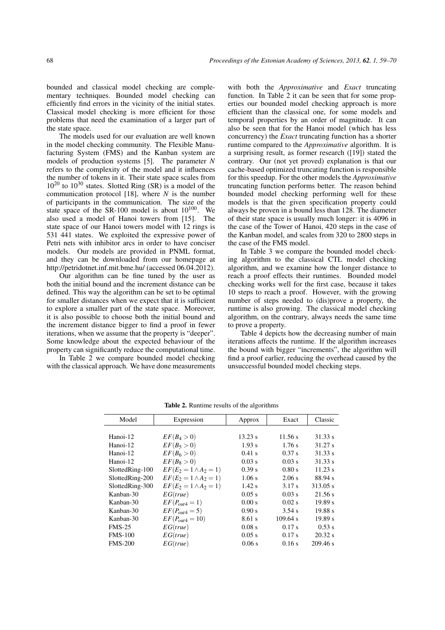bounded and classical model checking are complementary techniques. Bounded model checking can efficiently find errors in the vicinity of the initial states. Classical model checking is more efficient for those problems that need the examination of a larger part of the state space.

The models used for our evaluation are well known in the model checking community. The Flexible Manufacturing System (FMS) and the Kanban system are models of production systems [5]. The parameter *N* refers to the complexity of the model and it influences the number of tokens in it. Their state space scales from  $10^{20}$  to  $10^{30}$  states. Slotted Ring (SR) is a model of the communication protocol [18], where *N* is the number of participants in the communication. The size of the state space of the SR-100 model is about  $10^{100}$ . We also used a model of Hanoi towers from [15]. The state space of our Hanoi towers model with 12 rings is 531 441 states. We exploited the expressive power of Petri nets with inhibitor arcs in order to have conciser models. Our models are provided in PNML format, and they can be downloaded from our homepage at http://petridotnet.inf.mit.bme.hu/ (accessed 06.04.2012).

Our algorithm can be fine tuned by the user as both the initial bound and the increment distance can be defined. This way the algorithm can be set to be optimal for smaller distances when we expect that it is sufficient to explore a smaller part of the state space. Moreover, it is also possible to choose both the initial bound and the increment distance bigger to find a proof in fewer iterations, when we assume that the property is "deeper". Some knowledge about the expected behaviour of the property can significantly reduce the computational time.

In Table 2 we compare bounded model checking with the classical approach. We have done measurements

with both the *Approximative* and *Exact* truncating function. In Table 2 it can be seen that for some properties our bounded model checking approach is more efficient than the classical one, for some models and temporal properties by an order of magnitude. It can also be seen that for the Hanoi model (which has less concurrency) the *Exact* truncating function has a shorter runtime compared to the *Approximative* algorithm. It is a surprising result, as former research ([19]) stated the contrary. Our (not yet proved) explanation is that our cache-based optimized truncating function is responsible for this speedup. For the other models the *Approximative* truncating function performs better. The reason behind bounded model checking performing well for these models is that the given specification property could always be proven in a bound less than 128. The diameter of their state space is usually much longer: it is 4096 in the case of the Tower of Hanoi, 420 steps in the case of the Kanban model, and scales from 320 to 2800 steps in the case of the FMS model.

In Table 3 we compare the bounded model checking algorithm to the classical CTL model checking algorithm, and we examine how the longer distance to reach a proof effects their runtimes. Bounded model checking works well for the first case, because it takes 10 steps to reach a proof. However, with the growing number of steps needed to (dis)prove a property, the runtime is also growing. The classical model checking algorithm, on the contrary, always needs the same time to prove a property.

Table 4 depicts how the decreasing number of main iterations affects the runtime. If the algorithm increases the bound with bigger "increments", the algorithm will find a proof earlier, reducing the overhead caused by the unsuccessful bounded model checking steps.

| Model           | Expression                   | Approx   | Exact      | Classic  |
|-----------------|------------------------------|----------|------------|----------|
|                 |                              |          |            |          |
| Hanoi-12        | $EF(B_4>0)$                  | 13.23 s  | 11.56 s    | 31.33 s  |
| Hanoi-12        | $EF(B_5 > 0)$                | 1.93 s   | 1.76 s     | 31.27 s  |
| Hanoi-12        | $EF(B_6 > 0)$                | $0.41$ s | 0.37 s     | 31.33 s  |
| Hanoi-12        | $EF(B_8>0)$                  | $0.03$ s | 0.03 s     | 31.33 s  |
| SlottedRing-100 | $EF(E_2 = 1 \land A_2 = 1)$  | 0.39 s   | 0.80 s     | 11.23 s  |
| SlottedRing-200 | $EF(E_2 = 1 \land A_2 = 1)$  | 1.06 s   | 2.06 s     | 88.94 s  |
| SlottedRing-300 | $EF(E_2 = 1 \wedge A_2 = 1)$ | $1.42$ s | 3.17 s     | 313.05 s |
| Kanban-30       | EG(true)                     | 0.05 s   | $0.03$ s   | 21.56 s  |
| Kanban-30       | $EF(P_{out4}=1)$             | 0.00 s   | $0.02$ s   | 19.89 s  |
| Kanban-30       | $EF(P_{out4}=5)$             | 0.90 s   | 3.54 s     | 19.88 s  |
| Kanban-30       | $EF(P_{out4}=10)$            | 8.61 s   | $109.64$ s | 19.89 s  |
| $FMS-25$        | EG(true)                     | 0.08 s   | $0.17$ s   | 0.53 s   |
| <b>FMS-100</b>  | EG(true)                     | 0.05 s   | 0.17 s     | 20.32 s  |
| <b>FMS-200</b>  | EG(true)                     | 0.06 s   | $0.16$ s   | 209.46 s |

Table 2. Runtime results of the algorithms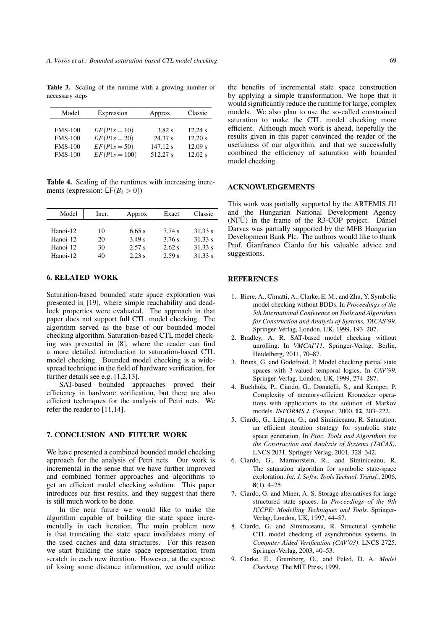Table 3. Scaling of the runtime with a growing number of necessary steps

| Model          | Expression      | Approx   | Classic   |
|----------------|-----------------|----------|-----------|
| <b>FMS-100</b> | $EF(P1s = 10)$  | 3.82 s   | $12.24$ s |
| <b>FMS-100</b> | $EF(P1s=20)$    | 24.37 s  | 12.20 s   |
| <b>FMS-100</b> | $EF(P1s=50)$    | 147.12 s | 12.09 s   |
| <b>FMS-100</b> | $EF(P1s = 100)$ | 512.27 s | 12.02 s   |

Table 4. Scaling of the runtimes with increasing increments (expression:  $EF(B_4 > 0)$ )

| Model                | Incr.    | Approx           | Exact            | Classic            |
|----------------------|----------|------------------|------------------|--------------------|
|                      |          |                  |                  |                    |
| Hanoi-12<br>Hanoi-12 | 10<br>20 | 6.65 s<br>3.49 s | 7.74 s<br>3.76 s | 31.33 s<br>31.33 s |
| Hanoi-12             | 30       | 2.57 s           | 2.62 s           | 31.33 s            |
| Hanoi-12             | 40       | 2.23 s           | 2.59 s           | 31.33 s            |

## 6. RELATED WORK

Saturation-based bounded state space exploration was presented in [19], where simple reachability and deadlock properties were evaluated. The approach in that paper does not support full CTL model checking. The algorithm served as the base of our bounded model checking algorithm. Saturation-based CTL model checking was presented in [8], where the reader can find a more detailed introduction to saturation-based CTL model checking. Bounded model checking is a widespread technique in the field of hardware verification, for further details see e.g. [1,2,13].

SAT-based bounded approaches proved their efficiency in hardware verification, but there are also efficient techniques for the analysis of Petri nets. We refer the reader to [11,14].

## 7. CONCLUSION AND FUTURE WORK

We have presented a combined bounded model checking approach for the analysis of Petri nets. Our work is incremental in the sense that we have further improved and combined former approaches and algorithms to get an efficient model checking solution. This paper introduces our first results, and they suggest that there is still much work to be done.

In the near future we would like to make the algorithm capable of building the state space incrementally in each iteration. The main problem now is that truncating the state space invalidates many of the used caches and data structures. For this reason we start building the state space representation from scratch in each new iteration. However, at the expense of losing some distance information, we could utilize

the benefits of incremental state space construction by applying a simple transformation. We hope that it would significantly reduce the runtime for large, complex models. We also plan to use the so-called constrained saturation to make the CTL model checking more efficient. Although much work is ahead, hopefully the results given in this paper convinced the reader of the usefulness of our algorithm, and that we successfully combined the efficiency of saturation with bounded model checking.

## ACKNOWLEDGEMENTS

This work was partially supported by the ARTEMIS JU and the Hungarian National Development Agency (NFÜ) in the frame of the R3-COP project. Dániel Darvas was partially supported by the MFB Hungarian Development Bank Plc. The authors would like to thank Prof. Gianfranco Ciardo for his valuable advice and suggestions.

#### **REFERENCES**

- 1. Biere, A., Cimatti, A., Clarke, E. M., and Zhu, Y. Symbolic model checking without BDDs. In *Proceedings of the 5th International Conference on Tools and Algorithms for Construction and Analysis of Systems, TACAS'99*. Springer-Verlag, London, UK, 1999, 193–207.
- 2. Bradley, A. R. SAT-based model checking without unrolling. In *VMCAI'11*. Springer-Verlag, Berlin, Heidelberg, 2011, 70–87.
- 3. Bruns, G. and Godefroid, P. Model checking partial state spaces with 3-valued temporal logics. In *CAV'99*. Springer-Verlag, London, UK, 1999, 274–287.
- 4. Buchholz, P., Ciardo, G., Donatelli, S., and Kemper, P. Complexity of memory-efficient Kronecker operations with applications to the solution of Markov models. *INFORMS J. Comput.*, 2000, 12, 203–222.
- 5. Ciardo, G., Lüttgen, G., and Siminiceanu, R. Saturation: an efficient iteration strategy for symbolic state space generation. In *Proc. Tools and Algorithms for the Construction and Analysis of Systems (TACAS)*. LNCS 2031. Springer-Verlag, 2001, 328–342.
- 6. Ciardo, G., Marmorstein, R., and Siminiceanu, R. The saturation algorithm for symbolic state-space exploration. *Int. J. Softw. Tools Technol. Transf.*, 2006,  $8(1)$ , 4–25.
- 7. Ciardo, G. and Miner, A. S. Storage alternatives for large structured state spaces. In *Proceedings of the 9th ICCPE: Modelling Techniques and Tools*. Springer-Verlag, London, UK, 1997, 44–57.
- 8. Ciardo, G. and Siminiceanu, R. Structural symbolic CTL model checking of asynchronous systems. In *Computer Aided Verification (CAV'03)*. LNCS 2725. Springer-Verlag, 2003, 40–53.
- 9. Clarke, E., Grumberg, O., and Peled, D. A. *Model Checking*. The MIT Press, 1999.